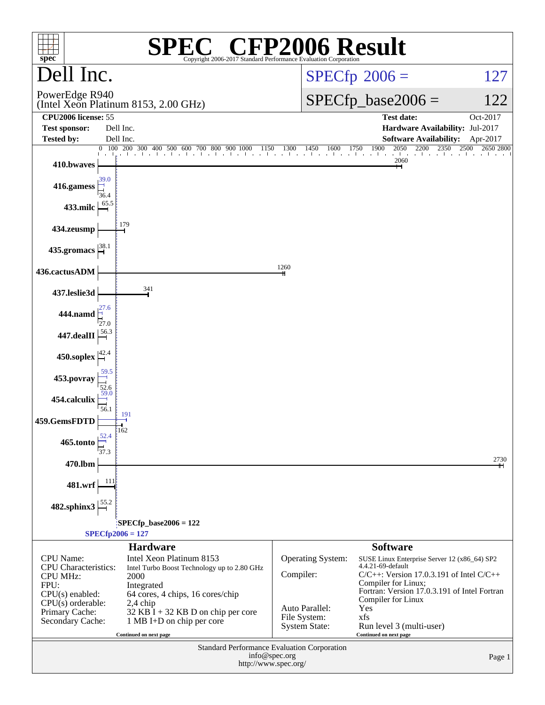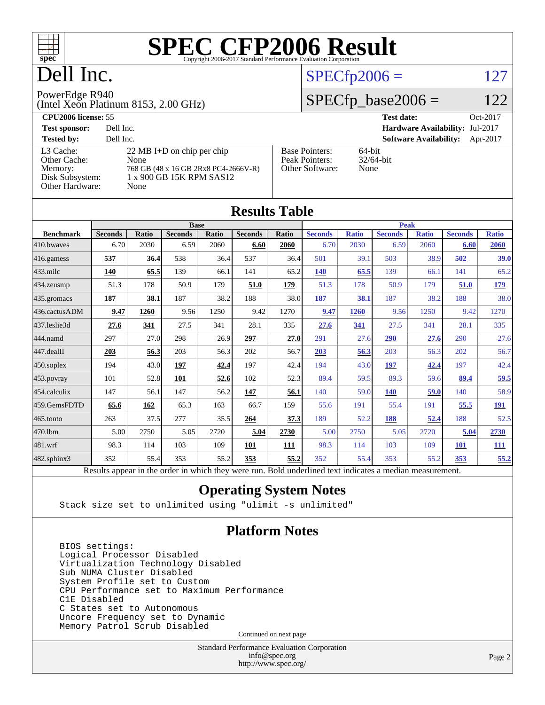

# Dell Inc.

#### $SPECfp2006 = 127$  $SPECfp2006 = 127$

#### PowerEdge R940

(Intel Xeon Platinum 8153, 2.00 GHz)

#### **[CPU2006 license:](http://www.spec.org/auto/cpu2006/Docs/result-fields.html#CPU2006license)** 55 **[Test date:](http://www.spec.org/auto/cpu2006/Docs/result-fields.html#Testdate)** Oct-2017

 $SPECTp\_base2006 = 122$ 

| $\sim$ $\sim$ $\sim$ $\sim$ $\sim$ $\sim$                                  |                                                                                                                          |                                                            | $\sim$                                    |
|----------------------------------------------------------------------------|--------------------------------------------------------------------------------------------------------------------------|------------------------------------------------------------|-------------------------------------------|
| <b>Test sponsor:</b>                                                       | Dell Inc.                                                                                                                |                                                            | <b>Hardware Availability: Jul-2017</b>    |
| <b>Tested by:</b>                                                          | Dell Inc.                                                                                                                |                                                            | <b>Software Availability:</b><br>Apr-2017 |
| L3 Cache:<br>Other Cache:<br>Memory:<br>Disk Subsystem:<br>Other Hardware: | $22 \text{ MB I+D}$ on chip per chip<br>None<br>768 GB (48 x 16 GB 2Rx8 PC4-2666V-R)<br>1 x 900 GB 15K RPM SAS12<br>None | <b>Base Pointers:</b><br>Peak Pointers:<br>Other Software: | $64$ -bit<br>$32/64$ -bit<br>None         |

|                   |                                                                                                          |             |                |       | <b>Results Table</b> |       |                |              |                |              |                |              |
|-------------------|----------------------------------------------------------------------------------------------------------|-------------|----------------|-------|----------------------|-------|----------------|--------------|----------------|--------------|----------------|--------------|
|                   |                                                                                                          | <b>Base</b> |                |       |                      |       | <b>Peak</b>    |              |                |              |                |              |
| <b>Benchmark</b>  | <b>Seconds</b>                                                                                           | Ratio       | <b>Seconds</b> | Ratio | <b>Seconds</b>       | Ratio | <b>Seconds</b> | <b>Ratio</b> | <b>Seconds</b> | <b>Ratio</b> | <b>Seconds</b> | <b>Ratio</b> |
| 410.bwayes        | 6.70                                                                                                     | 2030        | 6.59           | 2060  | 6.60                 | 2060  | 6.70           | 2030         | 6.59           | 2060         | 6.60           | <b>2060</b>  |
| 416.gamess        | 537                                                                                                      | 36.4        | 538            | 36.4  | 537                  | 36.4  | 501            | 39.1         | 503            | 38.9         | 502            | 39.0         |
| $433$ .milc       | 140                                                                                                      | 65.5        | 139            | 66.1  | 141                  | 65.2  | 140            | 65.5         | 139            | 66.1         | 141            | 65.2         |
| 434.zeusmp        | 51.3                                                                                                     | 178         | 50.9           | 179   | 51.0                 | 179   | 51.3           | 178          | 50.9           | 179          | 51.0           | <u>179</u>   |
| 435 gromacs       | 187                                                                                                      | 38.1        | 187            | 38.2  | 188                  | 38.0  | 187            | 38.1         | 187            | 38.2         | 188            | 38.0         |
| 436.cactusADM     | 9.47                                                                                                     | 1260        | 9.56           | 1250  | 9.42                 | 1270  | 9.47           | 1260         | 9.56           | 1250         | 9.42           | 1270         |
| 437.leslie3d      | 27.6                                                                                                     | 341         | 27.5           | 341   | 28.1                 | 335   | 27.6           | 341          | 27.5           | 341          | 28.1           | 335          |
| 444.namd          | 297                                                                                                      | 27.0        | 298            | 26.9  | 297                  | 27.0  | 291            | 27.6         | 290            | 27.6         | 290            | 27.6         |
| 447.dealII        | 203                                                                                                      | 56.3        | 203            | 56.3  | 202                  | 56.7  | 203            | 56.3         | 203            | 56.3         | 202            | 56.7         |
| 450.soplex        | 194                                                                                                      | 43.0        | 197            | 42.4  | 197                  | 42.4  | 194            | 43.0         | 197            | 42.4         | 197            | 42.4         |
| 453.povray        | 101                                                                                                      | 52.8        | 101            | 52.6  | 102                  | 52.3  | 89.4           | 59.5         | 89.3           | 59.6         | 89.4           | 59.5         |
| 454.calculix      | 147                                                                                                      | 56.1        | 147            | 56.2  | 147                  | 56.1  | 140            | 59.0         | <b>140</b>     | 59.0         | 140            | 58.9         |
| 459.GemsFDTD      | 65.6                                                                                                     | 162         | 65.3           | 163   | 66.7                 | 159   | 55.6           | 191          | 55.4           | 191          | 55.5           | <u> 191</u>  |
| 465.tonto         | 263                                                                                                      | 37.5        | 277            | 35.5  | 264                  | 37.3  | 189            | 52.2         | 188            | 52.4         | 188            | 52.5         |
| 470.1bm           | 5.00                                                                                                     | 2750        | 5.05           | 2720  | 5.04                 | 2730  | 5.00           | 2750         | 5.05           | 2720         | 5.04           | 2730         |
| 481.wrf           | 98.3                                                                                                     | 114         | 103            | 109   | 101                  | 111   | 98.3           | 114          | 103            | 109          | <b>101</b>     | <b>111</b>   |
| $482$ .sphinx $3$ | 352                                                                                                      | 55.4        | 353            | 55.2  | 353                  | 55.2  | 352            | 55.4         | 353            | 55.2         | 353            | 55.2         |
|                   | Results appear in the order in which they were run. Bold underlined text indicates a median measurement. |             |                |       |                      |       |                |              |                |              |                |              |

#### **[Operating System Notes](http://www.spec.org/auto/cpu2006/Docs/result-fields.html#OperatingSystemNotes)**

Stack size set to unlimited using "ulimit -s unlimited"

#### **[Platform Notes](http://www.spec.org/auto/cpu2006/Docs/result-fields.html#PlatformNotes)**

 BIOS settings: Logical Processor Disabled Virtualization Technology Disabled Sub NUMA Cluster Disabled System Profile set to Custom CPU Performance set to Maximum Performance C1E Disabled C States set to Autonomous Uncore Frequency set to Dynamic Memory Patrol Scrub Disabled

Continued on next page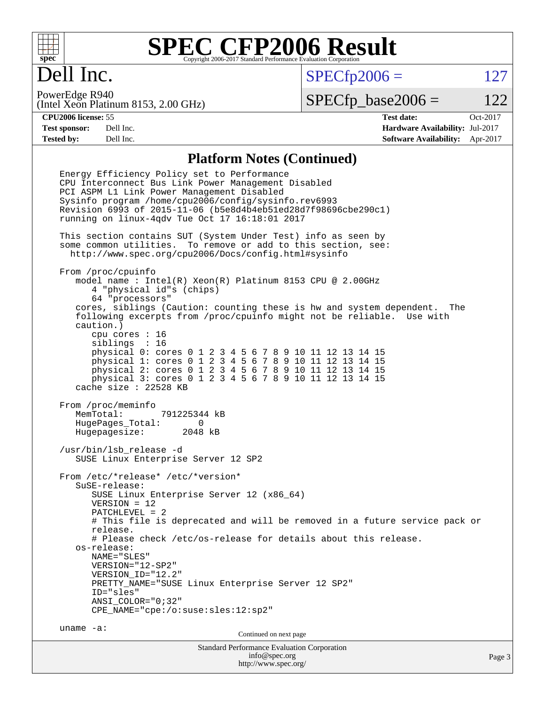

## Dell Inc.

 $SPECTp2006 = 127$ 

(Intel Xeon Platinum 8153, 2.00 GHz) PowerEdge R940

 $SPECTp\_base2006 = 122$ 

**[CPU2006 license:](http://www.spec.org/auto/cpu2006/Docs/result-fields.html#CPU2006license)** 55 **[Test date:](http://www.spec.org/auto/cpu2006/Docs/result-fields.html#Testdate)** Oct-2017 **[Test sponsor:](http://www.spec.org/auto/cpu2006/Docs/result-fields.html#Testsponsor)** Dell Inc. **[Hardware Availability:](http://www.spec.org/auto/cpu2006/Docs/result-fields.html#HardwareAvailability)** Jul-2017 **[Tested by:](http://www.spec.org/auto/cpu2006/Docs/result-fields.html#Testedby)** Dell Inc. **[Software Availability:](http://www.spec.org/auto/cpu2006/Docs/result-fields.html#SoftwareAvailability)** Apr-2017

#### **[Platform Notes \(Continued\)](http://www.spec.org/auto/cpu2006/Docs/result-fields.html#PlatformNotes)**

Standard Performance Evaluation Corporation [info@spec.org](mailto:info@spec.org) Page 3 Energy Efficiency Policy set to Performance CPU Interconnect Bus Link Power Management Disabled PCI ASPM L1 Link Power Management Disabled Sysinfo program /home/cpu2006/config/sysinfo.rev6993 Revision 6993 of 2015-11-06 (b5e8d4b4eb51ed28d7f98696cbe290c1) running on linux-4qdv Tue Oct 17 16:18:01 2017 This section contains SUT (System Under Test) info as seen by some common utilities. To remove or add to this section, see: <http://www.spec.org/cpu2006/Docs/config.html#sysinfo> From /proc/cpuinfo model name : Intel(R) Xeon(R) Platinum 8153 CPU @ 2.00GHz 4 "physical id"s (chips) 64 "processors" cores, siblings (Caution: counting these is hw and system dependent. The following excerpts from /proc/cpuinfo might not be reliable. Use with caution.) cpu cores : 16 siblings : 16 physical 0: cores 0 1 2 3 4 5 6 7 8 9 10 11 12 13 14 15 physical 1: cores 0 1 2 3 4 5 6 7 8 9 10 11 12 13 14 15 physical 2: cores 0 1 2 3 4 5 6 7 8 9 10 11 12 13 14 15 physical 3: cores 0 1 2 3 4 5 6 7 8 9 10 11 12 13 14 15 cache size : 22528 KB From /proc/meminfo MemTotal: 791225344 kB HugePages\_Total: 0 Hugepagesize: 2048 kB /usr/bin/lsb\_release -d SUSE Linux Enterprise Server 12 SP2 From /etc/\*release\* /etc/\*version\* SuSE-release: SUSE Linux Enterprise Server 12 (x86\_64) VERSION = 12 PATCHLEVEL = 2 # This file is deprecated and will be removed in a future service pack or release. # Please check /etc/os-release for details about this release. os-release: NAME="SLES" VERSION="12-SP2" VERSION\_ID="12.2" PRETTY\_NAME="SUSE Linux Enterprise Server 12 SP2" ID="sles" ANSI\_COLOR="0;32" CPE\_NAME="cpe:/o:suse:sles:12:sp2" uname -a: Continued on next page

<http://www.spec.org/>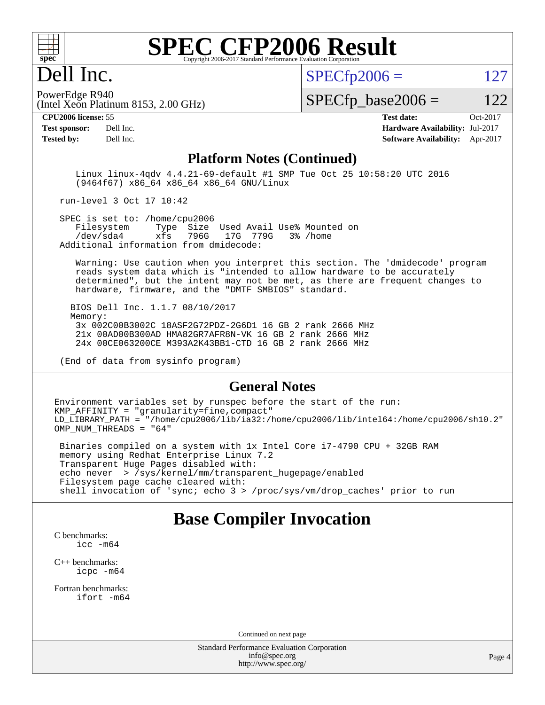

## Dell Inc.

 $SPECTp2006 = 127$ 

(Intel Xeon Platinum 8153, 2.00 GHz) PowerEdge R940

 $SPECTp\_base2006 = 122$ 

**[CPU2006 license:](http://www.spec.org/auto/cpu2006/Docs/result-fields.html#CPU2006license)** 55 **[Test date:](http://www.spec.org/auto/cpu2006/Docs/result-fields.html#Testdate)** Oct-2017

**[Tested by:](http://www.spec.org/auto/cpu2006/Docs/result-fields.html#Testedby)** Dell Inc. **[Software Availability:](http://www.spec.org/auto/cpu2006/Docs/result-fields.html#SoftwareAvailability)** Apr-2017

**[Test sponsor:](http://www.spec.org/auto/cpu2006/Docs/result-fields.html#Testsponsor)** Dell Inc. **[Hardware Availability:](http://www.spec.org/auto/cpu2006/Docs/result-fields.html#HardwareAvailability)** Jul-2017

#### **[Platform Notes \(Continued\)](http://www.spec.org/auto/cpu2006/Docs/result-fields.html#PlatformNotes)**

 Linux linux-4qdv 4.4.21-69-default #1 SMP Tue Oct 25 10:58:20 UTC 2016 (9464f67) x86\_64 x86\_64 x86\_64 GNU/Linux

run-level 3 Oct 17 10:42

SPEC is set to: /home/cpu2006<br>Filesystem Type Size Type Size Used Avail Use% Mounted on /dev/sda4 xfs 796G 17G 779G 3% /home Additional information from dmidecode:

 Warning: Use caution when you interpret this section. The 'dmidecode' program reads system data which is "intended to allow hardware to be accurately determined", but the intent may not be met, as there are frequent changes to hardware, firmware, and the "DMTF SMBIOS" standard.

 BIOS Dell Inc. 1.1.7 08/10/2017 Memory: 3x 002C00B3002C 18ASF2G72PDZ-2G6D1 16 GB 2 rank 2666 MHz 21x 00AD00B300AD HMA82GR7AFR8N-VK 16 GB 2 rank 2666 MHz 24x 00CE063200CE M393A2K43BB1-CTD 16 GB 2 rank 2666 MHz

(End of data from sysinfo program)

#### **[General Notes](http://www.spec.org/auto/cpu2006/Docs/result-fields.html#GeneralNotes)**

Environment variables set by runspec before the start of the run: KMP\_AFFINITY = "granularity=fine,compact" LD\_LIBRARY\_PATH = "/home/cpu2006/lib/ia32:/home/cpu2006/lib/intel64:/home/cpu2006/sh10.2" OMP\_NUM\_THREADS = "64"

 Binaries compiled on a system with 1x Intel Core i7-4790 CPU + 32GB RAM memory using Redhat Enterprise Linux 7.2 Transparent Huge Pages disabled with: echo never > /sys/kernel/mm/transparent\_hugepage/enabled Filesystem page cache cleared with: shell invocation of 'sync; echo 3 > /proc/sys/vm/drop\_caches' prior to run

#### **[Base Compiler Invocation](http://www.spec.org/auto/cpu2006/Docs/result-fields.html#BaseCompilerInvocation)**

[C benchmarks](http://www.spec.org/auto/cpu2006/Docs/result-fields.html#Cbenchmarks):

[icc -m64](http://www.spec.org/cpu2006/results/res2017q4/cpu2006-20171030-50370.flags.html#user_CCbase_intel_icc_64bit_bda6cc9af1fdbb0edc3795bac97ada53)

[C++ benchmarks:](http://www.spec.org/auto/cpu2006/Docs/result-fields.html#CXXbenchmarks) [icpc -m64](http://www.spec.org/cpu2006/results/res2017q4/cpu2006-20171030-50370.flags.html#user_CXXbase_intel_icpc_64bit_fc66a5337ce925472a5c54ad6a0de310)

[Fortran benchmarks](http://www.spec.org/auto/cpu2006/Docs/result-fields.html#Fortranbenchmarks): [ifort -m64](http://www.spec.org/cpu2006/results/res2017q4/cpu2006-20171030-50370.flags.html#user_FCbase_intel_ifort_64bit_ee9d0fb25645d0210d97eb0527dcc06e)

Continued on next page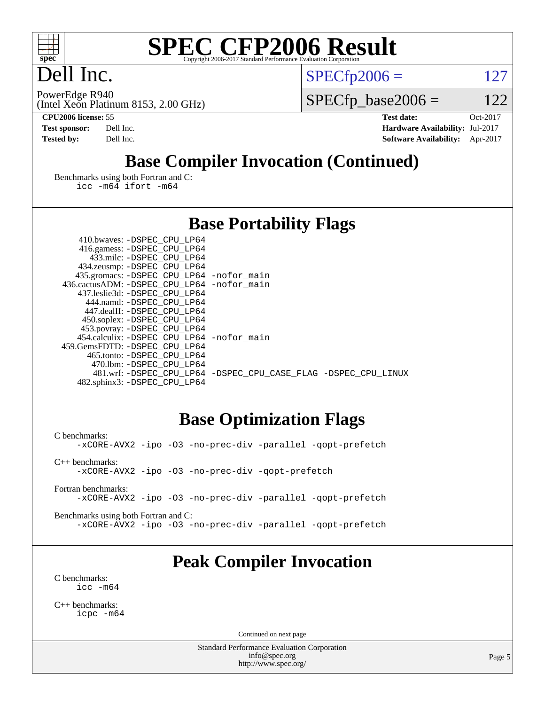

## Dell Inc.

PowerEdge R940

 $SPECTp2006 = 127$ 

(Intel Xeon Platinum 8153, 2.00 GHz)

 $SPECfp\_base2006 = 122$ 

**[CPU2006 license:](http://www.spec.org/auto/cpu2006/Docs/result-fields.html#CPU2006license)** 55 **[Test date:](http://www.spec.org/auto/cpu2006/Docs/result-fields.html#Testdate)** Oct-2017 **[Test sponsor:](http://www.spec.org/auto/cpu2006/Docs/result-fields.html#Testsponsor)** Dell Inc. **[Hardware Availability:](http://www.spec.org/auto/cpu2006/Docs/result-fields.html#HardwareAvailability)** Jul-2017 **[Tested by:](http://www.spec.org/auto/cpu2006/Docs/result-fields.html#Testedby)** Dell Inc. **[Software Availability:](http://www.spec.org/auto/cpu2006/Docs/result-fields.html#SoftwareAvailability)** Apr-2017

## **[Base Compiler Invocation \(Continued\)](http://www.spec.org/auto/cpu2006/Docs/result-fields.html#BaseCompilerInvocation)**

[Benchmarks using both Fortran and C](http://www.spec.org/auto/cpu2006/Docs/result-fields.html#BenchmarksusingbothFortranandC): [icc -m64](http://www.spec.org/cpu2006/results/res2017q4/cpu2006-20171030-50370.flags.html#user_CC_FCbase_intel_icc_64bit_bda6cc9af1fdbb0edc3795bac97ada53) [ifort -m64](http://www.spec.org/cpu2006/results/res2017q4/cpu2006-20171030-50370.flags.html#user_CC_FCbase_intel_ifort_64bit_ee9d0fb25645d0210d97eb0527dcc06e)

#### **[Base Portability Flags](http://www.spec.org/auto/cpu2006/Docs/result-fields.html#BasePortabilityFlags)**

| 410.bwaves: -DSPEC CPU LP64                  |                                                                |
|----------------------------------------------|----------------------------------------------------------------|
| 416.gamess: -DSPEC_CPU_LP64                  |                                                                |
| 433.milc: -DSPEC CPU LP64                    |                                                                |
| 434.zeusmp: -DSPEC_CPU_LP64                  |                                                                |
| 435.gromacs: -DSPEC_CPU_LP64 -nofor_main     |                                                                |
| 436.cactusADM: - DSPEC CPU LP64 - nofor main |                                                                |
| 437.leslie3d: -DSPEC CPU LP64                |                                                                |
| 444.namd: -DSPEC CPU LP64                    |                                                                |
| 447.dealII: -DSPEC CPU LP64                  |                                                                |
| 450.soplex: -DSPEC_CPU_LP64                  |                                                                |
| 453.povray: -DSPEC_CPU_LP64                  |                                                                |
| 454.calculix: - DSPEC CPU LP64 - nofor main  |                                                                |
| 459. GemsFDTD: - DSPEC CPU LP64              |                                                                |
| 465.tonto: - DSPEC CPU LP64                  |                                                                |
| 470.1bm: - DSPEC_CPU LP64                    |                                                                |
|                                              | 481.wrf: -DSPEC CPU_LP64 -DSPEC_CPU_CASE_FLAG -DSPEC_CPU_LINUX |
| 482.sphinx3: -DSPEC_CPU_LP64                 |                                                                |

#### **[Base Optimization Flags](http://www.spec.org/auto/cpu2006/Docs/result-fields.html#BaseOptimizationFlags)**

[C benchmarks](http://www.spec.org/auto/cpu2006/Docs/result-fields.html#Cbenchmarks): [-xCORE-AVX2](http://www.spec.org/cpu2006/results/res2017q4/cpu2006-20171030-50370.flags.html#user_CCbase_f-xCORE-AVX2) [-ipo](http://www.spec.org/cpu2006/results/res2017q4/cpu2006-20171030-50370.flags.html#user_CCbase_f-ipo) [-O3](http://www.spec.org/cpu2006/results/res2017q4/cpu2006-20171030-50370.flags.html#user_CCbase_f-O3) [-no-prec-div](http://www.spec.org/cpu2006/results/res2017q4/cpu2006-20171030-50370.flags.html#user_CCbase_f-no-prec-div) [-parallel](http://www.spec.org/cpu2006/results/res2017q4/cpu2006-20171030-50370.flags.html#user_CCbase_f-parallel) [-qopt-prefetch](http://www.spec.org/cpu2006/results/res2017q4/cpu2006-20171030-50370.flags.html#user_CCbase_f-qopt-prefetch) [C++ benchmarks:](http://www.spec.org/auto/cpu2006/Docs/result-fields.html#CXXbenchmarks) [-xCORE-AVX2](http://www.spec.org/cpu2006/results/res2017q4/cpu2006-20171030-50370.flags.html#user_CXXbase_f-xCORE-AVX2) [-ipo](http://www.spec.org/cpu2006/results/res2017q4/cpu2006-20171030-50370.flags.html#user_CXXbase_f-ipo) [-O3](http://www.spec.org/cpu2006/results/res2017q4/cpu2006-20171030-50370.flags.html#user_CXXbase_f-O3) [-no-prec-div](http://www.spec.org/cpu2006/results/res2017q4/cpu2006-20171030-50370.flags.html#user_CXXbase_f-no-prec-div) [-qopt-prefetch](http://www.spec.org/cpu2006/results/res2017q4/cpu2006-20171030-50370.flags.html#user_CXXbase_f-qopt-prefetch)

[Fortran benchmarks](http://www.spec.org/auto/cpu2006/Docs/result-fields.html#Fortranbenchmarks): [-xCORE-AVX2](http://www.spec.org/cpu2006/results/res2017q4/cpu2006-20171030-50370.flags.html#user_FCbase_f-xCORE-AVX2) [-ipo](http://www.spec.org/cpu2006/results/res2017q4/cpu2006-20171030-50370.flags.html#user_FCbase_f-ipo) [-O3](http://www.spec.org/cpu2006/results/res2017q4/cpu2006-20171030-50370.flags.html#user_FCbase_f-O3) [-no-prec-div](http://www.spec.org/cpu2006/results/res2017q4/cpu2006-20171030-50370.flags.html#user_FCbase_f-no-prec-div) [-parallel](http://www.spec.org/cpu2006/results/res2017q4/cpu2006-20171030-50370.flags.html#user_FCbase_f-parallel) [-qopt-prefetch](http://www.spec.org/cpu2006/results/res2017q4/cpu2006-20171030-50370.flags.html#user_FCbase_f-qopt-prefetch)

[Benchmarks using both Fortran and C](http://www.spec.org/auto/cpu2006/Docs/result-fields.html#BenchmarksusingbothFortranandC): [-xCORE-AVX2](http://www.spec.org/cpu2006/results/res2017q4/cpu2006-20171030-50370.flags.html#user_CC_FCbase_f-xCORE-AVX2) [-ipo](http://www.spec.org/cpu2006/results/res2017q4/cpu2006-20171030-50370.flags.html#user_CC_FCbase_f-ipo) [-O3](http://www.spec.org/cpu2006/results/res2017q4/cpu2006-20171030-50370.flags.html#user_CC_FCbase_f-O3) [-no-prec-div](http://www.spec.org/cpu2006/results/res2017q4/cpu2006-20171030-50370.flags.html#user_CC_FCbase_f-no-prec-div) [-parallel](http://www.spec.org/cpu2006/results/res2017q4/cpu2006-20171030-50370.flags.html#user_CC_FCbase_f-parallel) [-qopt-prefetch](http://www.spec.org/cpu2006/results/res2017q4/cpu2006-20171030-50370.flags.html#user_CC_FCbase_f-qopt-prefetch)

#### **[Peak Compiler Invocation](http://www.spec.org/auto/cpu2006/Docs/result-fields.html#PeakCompilerInvocation)**

[C benchmarks](http://www.spec.org/auto/cpu2006/Docs/result-fields.html#Cbenchmarks): [icc -m64](http://www.spec.org/cpu2006/results/res2017q4/cpu2006-20171030-50370.flags.html#user_CCpeak_intel_icc_64bit_bda6cc9af1fdbb0edc3795bac97ada53)

[C++ benchmarks:](http://www.spec.org/auto/cpu2006/Docs/result-fields.html#CXXbenchmarks) [icpc -m64](http://www.spec.org/cpu2006/results/res2017q4/cpu2006-20171030-50370.flags.html#user_CXXpeak_intel_icpc_64bit_fc66a5337ce925472a5c54ad6a0de310)

Continued on next page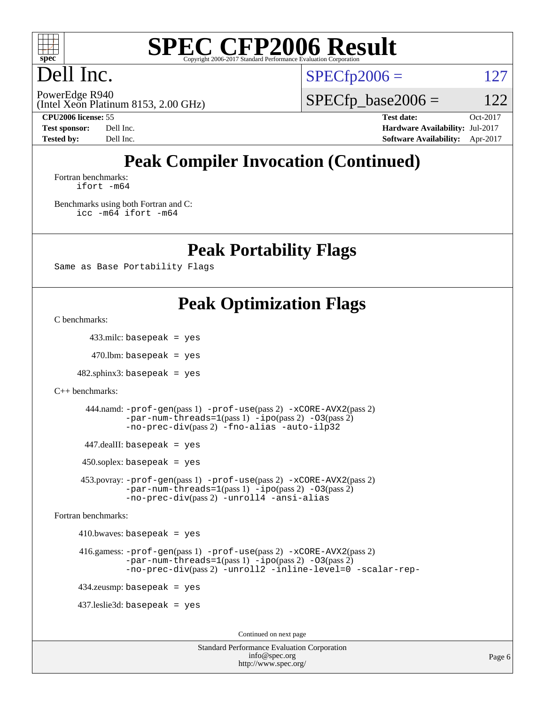

## Dell Inc.

 $SPECTp2006 = 127$ 

(Intel Xeon Platinum 8153, 2.00 GHz) PowerEdge R940

 $SPECfp\_base2006 = 122$ 

**[CPU2006 license:](http://www.spec.org/auto/cpu2006/Docs/result-fields.html#CPU2006license)** 55 **[Test date:](http://www.spec.org/auto/cpu2006/Docs/result-fields.html#Testdate)** Oct-2017 **[Test sponsor:](http://www.spec.org/auto/cpu2006/Docs/result-fields.html#Testsponsor)** Dell Inc. **[Hardware Availability:](http://www.spec.org/auto/cpu2006/Docs/result-fields.html#HardwareAvailability)** Jul-2017 **[Tested by:](http://www.spec.org/auto/cpu2006/Docs/result-fields.html#Testedby)** Dell Inc. **[Software Availability:](http://www.spec.org/auto/cpu2006/Docs/result-fields.html#SoftwareAvailability)** Apr-2017

## **[Peak Compiler Invocation \(Continued\)](http://www.spec.org/auto/cpu2006/Docs/result-fields.html#PeakCompilerInvocation)**

[Fortran benchmarks](http://www.spec.org/auto/cpu2006/Docs/result-fields.html#Fortranbenchmarks): [ifort -m64](http://www.spec.org/cpu2006/results/res2017q4/cpu2006-20171030-50370.flags.html#user_FCpeak_intel_ifort_64bit_ee9d0fb25645d0210d97eb0527dcc06e)

[Benchmarks using both Fortran and C](http://www.spec.org/auto/cpu2006/Docs/result-fields.html#BenchmarksusingbothFortranandC): [icc -m64](http://www.spec.org/cpu2006/results/res2017q4/cpu2006-20171030-50370.flags.html#user_CC_FCpeak_intel_icc_64bit_bda6cc9af1fdbb0edc3795bac97ada53) [ifort -m64](http://www.spec.org/cpu2006/results/res2017q4/cpu2006-20171030-50370.flags.html#user_CC_FCpeak_intel_ifort_64bit_ee9d0fb25645d0210d97eb0527dcc06e)

**[Peak Portability Flags](http://www.spec.org/auto/cpu2006/Docs/result-fields.html#PeakPortabilityFlags)**

Same as Base Portability Flags

#### **[Peak Optimization Flags](http://www.spec.org/auto/cpu2006/Docs/result-fields.html#PeakOptimizationFlags)**

[C benchmarks](http://www.spec.org/auto/cpu2006/Docs/result-fields.html#Cbenchmarks):

433.milc: basepeak = yes

 $470$ .lbm: basepeak = yes

 $482$ .sphinx $3$ : basepeak = yes

```
C++ benchmarks:
```

```
 444.namd: -prof-gen(pass 1) -prof-use(pass 2) -xCORE-AVX2(pass 2)
-par-num-threads=1-ipo-O3(pass 2)-no-prec-div(pass 2) -fno-alias -auto-ilp32
```
447.dealII: basepeak = yes

 $450$ .soplex: basepeak = yes

 453.povray: [-prof-gen](http://www.spec.org/cpu2006/results/res2017q4/cpu2006-20171030-50370.flags.html#user_peakPASS1_CXXFLAGSPASS1_LDFLAGS453_povray_prof_gen_e43856698f6ca7b7e442dfd80e94a8fc)(pass 1) [-prof-use](http://www.spec.org/cpu2006/results/res2017q4/cpu2006-20171030-50370.flags.html#user_peakPASS2_CXXFLAGSPASS2_LDFLAGS453_povray_prof_use_bccf7792157ff70d64e32fe3e1250b55)(pass 2) [-xCORE-AVX2](http://www.spec.org/cpu2006/results/res2017q4/cpu2006-20171030-50370.flags.html#user_peakPASS2_CXXFLAGSPASS2_LDFLAGS453_povray_f-xCORE-AVX2)(pass 2)  $-par-num-threads=1(pass 1) -ipo(pass 2) -O3(pass 2)$  $-par-num-threads=1(pass 1) -ipo(pass 2) -O3(pass 2)$  $-par-num-threads=1(pass 1) -ipo(pass 2) -O3(pass 2)$  $-par-num-threads=1(pass 1) -ipo(pass 2) -O3(pass 2)$  $-par-num-threads=1(pass 1) -ipo(pass 2) -O3(pass 2)$  $-par-num-threads=1(pass 1) -ipo(pass 2) -O3(pass 2)$ [-no-prec-div](http://www.spec.org/cpu2006/results/res2017q4/cpu2006-20171030-50370.flags.html#user_peakPASS2_CXXFLAGSPASS2_LDFLAGS453_povray_f-no-prec-div)(pass 2) [-unroll4](http://www.spec.org/cpu2006/results/res2017q4/cpu2006-20171030-50370.flags.html#user_peakCXXOPTIMIZE453_povray_f-unroll_4e5e4ed65b7fd20bdcd365bec371b81f) [-ansi-alias](http://www.spec.org/cpu2006/results/res2017q4/cpu2006-20171030-50370.flags.html#user_peakCXXOPTIMIZE453_povray_f-ansi-alias)

[Fortran benchmarks](http://www.spec.org/auto/cpu2006/Docs/result-fields.html#Fortranbenchmarks):

 $410.bwaves: basepeak = yes$ 

```
 416.gamess: -prof-gen(pass 1) -prof-use(pass 2) -xCORE-AVX2(pass 2)
  -par-num-threads=1-ipo-O3(pass 2)-no-prec-div(pass 2) -unroll2 -inline-level=0 -scalar-rep-
```
434.zeusmp: basepeak = yes

437.leslie3d: basepeak = yes

Continued on next page